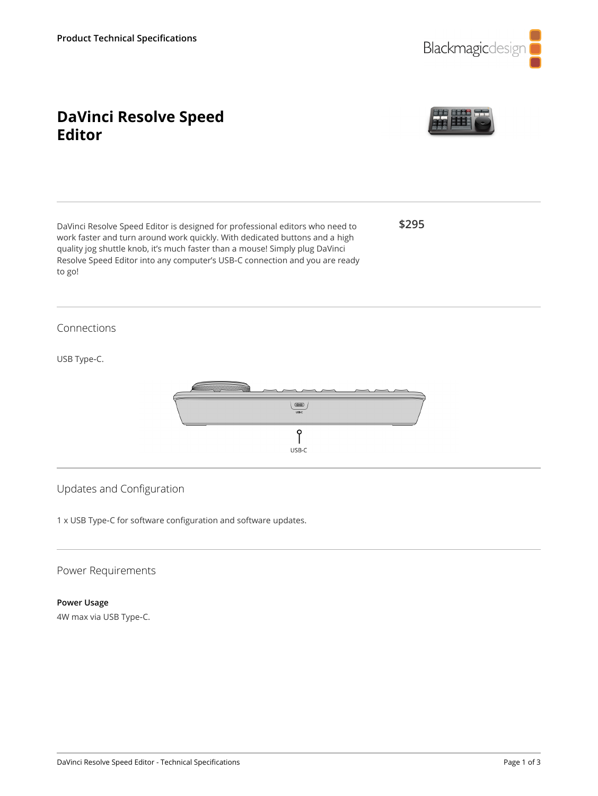

# **DaVinci Resolve Speed Editor**



**\$295**

DaVinci Resolve Speed Editor is designed for professional editors who need to work faster and turn around work quickly. With dedicated buttons and a high quality jog shuttle knob, it's much faster than a mouse! Simply plug DaVinci Resolve Speed Editor into any computer's USB‑C connection and you are ready to go!

### Connections

USB Type-C.



## Updates and Configuration

1 x USB Type-C for software configuration and software updates.

#### Power Requirements

**Power Usage** 4W max via USB Type-C.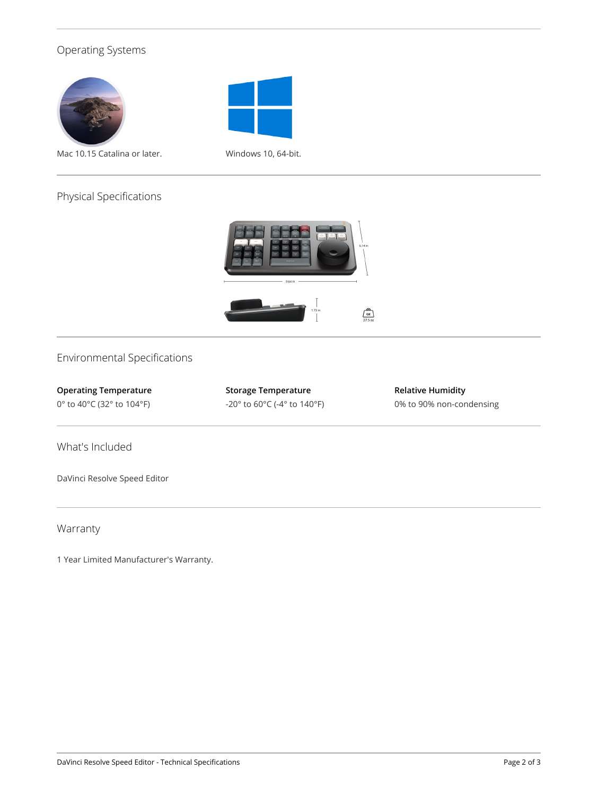### Operating Systems





Mac 10.15 Catalina or later. Windows 10, 64-bit.

# Physical Specifications



### Environmental Specifications

**Operating Temperature** 0° to 40°C (32° to 104°F)

**Storage Temperature** -20° to 60°C (-4° to 140°F) **Relative Humidity** 0% to 90% non-condensing

What's Included

DaVinci Resolve Speed Editor

Warranty

1 Year Limited Manufacturer's Warranty.